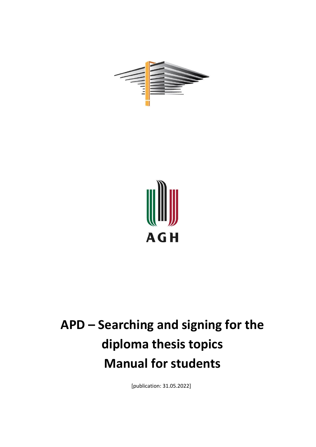



## **APD – Searching and signing for the diploma thesis topics Manual for students**

[publication: 31.05.2022]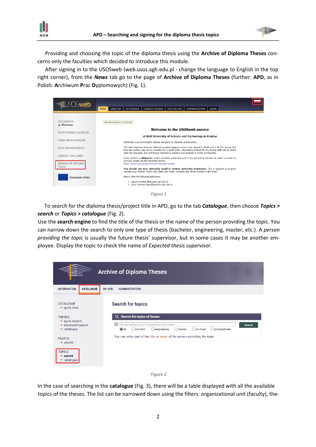**AGH** 



Providing and choosing the topic of the diploma thesis using the **Archive of Diploma Theses** concerns only the faculties which decided to introduce this module.

After signing in to the USOSweb (web.usos.agh.edu.pl - change the language to English in the top right corner), from the *News* tab go to the page of **Archive of Diploma Theses** (further: **APD**, as in Polish: **A**rchiwum **P**rac **D**yplomowych) (Fig. 1).



 To search for the diploma thesis/project title in APD, go to the tab *Catalogue*, then choose *Topics > search* or *Topics > catalogue* (Fig. 2).

Use the **search engine** to find the title of the thesis or the name of the person providing the topic. You can narrow down the search to only one type of thesis (bachelor, engineering, master, etc.). A *person providing the topic* is usually the future thesis' supervisor, but in some cases it may be another employee. Display the topic to check the name of *Expected thesis supervisor*.

|                                                                  | <b>Archive of Diploma Theses</b>                                                                                                                                                            |
|------------------------------------------------------------------|---------------------------------------------------------------------------------------------------------------------------------------------------------------------------------------------|
| <b>CATALOGUE</b><br><b>INFORMATION</b><br><b>MY APD</b>          | <b>ADMINISTRATION</b>                                                                                                                                                                       |
| <b>CATALOGUE</b><br>$\rightarrow$ quick start                    | <b>Search for topics</b>                                                                                                                                                                    |
| <b>THESES</b><br>$\rightarrow$ quick search                      | <b>Search for topics of theses</b><br>Q                                                                                                                                                     |
| $\rightarrow$ advanced search<br>$\rightarrow$ catalogue         | ന<br>ttile, name and last name of the person providing the topic<br><b>Search</b><br>$\bigcirc$ all<br><b>Obachelor</b><br>○ doctoral<br>○postgraduate<br>$\bigcirc$ engineering<br>◯master |
| <b>PFOPLE</b><br>$\rightarrow$ search                            | You can enter part of the title or name of the person providing the topic.                                                                                                                  |
| <b>TOPICS</b><br>$\rightarrow$ search<br>$\rightarrow$ catalogue |                                                                                                                                                                                             |



In the case of searching in the **catalogue** (Fig. 3), there will be a table displayed with all the available topics of the theses. The list can be narrowed down using the filters: organizational unit (faculty), the-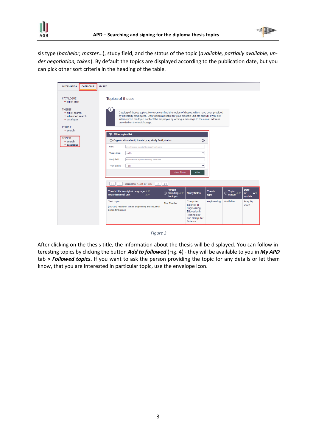



sis type (*bachelor, master*…), study field, and the status of the topic (*available, partially available, under negotiation, taken*). By default the topics are displayed according to the publication date, but you can pick other sort criteria in the heading of the table.

| <b>CATALOGUE</b><br><b>INFORMATION</b>                                                                                                           | <b>MY APD</b>                                                                                                                                                                                                                                                                                                          |  |  |  |  |
|--------------------------------------------------------------------------------------------------------------------------------------------------|------------------------------------------------------------------------------------------------------------------------------------------------------------------------------------------------------------------------------------------------------------------------------------------------------------------------|--|--|--|--|
| <b>CATALOGUE</b><br>$\rightarrow$ quick start                                                                                                    | <b>Topics of theses</b>                                                                                                                                                                                                                                                                                                |  |  |  |  |
| <b>THESES</b><br>$\rightarrow$ quick search<br>$\rightarrow$ advanced search<br>$\rightarrow$ catalogue<br><b>PEOPLE</b><br>$\rightarrow$ search | Catalog of theses topics. Here you can find the topics of theses, which have been provided<br>by university employees. Only topics available for your didactic unit are shown. If you are<br>interested in the topic, contact the employee by writing a message to the e-mail address<br>provided on the topic's page. |  |  |  |  |
| <b>TOPICS</b><br>$\rightarrow$ search                                                                                                            | $\equiv$ Filter topics list<br>$\Box$ Organizational unit, thesis type, study field, status<br>$\odot$                                                                                                                                                                                                                 |  |  |  |  |
| $\rightarrow$ catalogue                                                                                                                          | Unit:<br>enter the code or part of the department name<br>Thesis type:<br>$-$ all $-$<br>$\checkmark$                                                                                                                                                                                                                  |  |  |  |  |
|                                                                                                                                                  | Study field:<br>enter the code or part of the study field name                                                                                                                                                                                                                                                         |  |  |  |  |
|                                                                                                                                                  | $-$ all $-$<br>Topic status:<br>$\check{ }$                                                                                                                                                                                                                                                                            |  |  |  |  |
|                                                                                                                                                  | <b>Clear filters</b><br><b>Filter</b>                                                                                                                                                                                                                                                                                  |  |  |  |  |
|                                                                                                                                                  | Elements 130 of 539<br>>1<br>$\mathbf{R}$<br>$\rightarrow$                                                                                                                                                                                                                                                             |  |  |  |  |
|                                                                                                                                                  | Date<br><b>Person</b><br>Thesis title in original language AV<br><b>Thesis</b><br>Topic<br>status<br>$\odot$ providing $\triangle$<br><b>Study fields</b><br>$\odot$<br>of<br>$\blacktriangle$ .<br><b>Organizational unit</b><br>$\blacktriangle \blacktriangledown$<br>type<br>the topic<br>update                   |  |  |  |  |
|                                                                                                                                                  | Available<br>May 26,<br>Computer<br>engineering<br><b>Test topic</b><br><b>Test Teacher</b><br>Science in<br>2022<br>[110-000] Faculty of Metals Engineering and Industrial<br>Engineering,<br><b>Computer Science</b><br><b>Education</b> in<br>Technology<br>and Computer<br>Science                                 |  |  |  |  |



After clicking on the thesis title, the information about the thesis will be displayed. You can follow interesting topics by clicking the button *Add to followed* (Fig. 4) - they will be available to you in *My APD* tab **>** *Followed topics***.** If you want to ask the person providing the topic for any details or let them know, that you are interested in particular topic, use the envelope icon.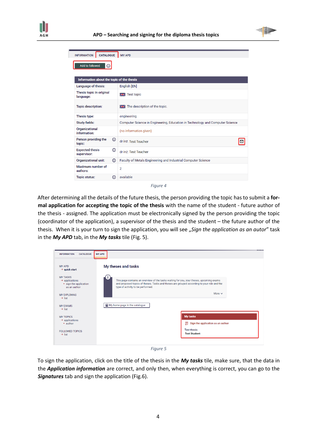



| <b>CATALOGUE</b><br><b>INFORMATION</b>           | <b>MY APD</b>                                                                 |  |  |  |
|--------------------------------------------------|-------------------------------------------------------------------------------|--|--|--|
| Add to followed<br>⊙                             |                                                                               |  |  |  |
| Information about the topic of the thesis        |                                                                               |  |  |  |
| Language of thesis:                              | English [EN]                                                                  |  |  |  |
| Thesis topic in original<br>language:            | <b>EX</b> Test topic                                                          |  |  |  |
| Topic description:                               | The description of the topic.                                                 |  |  |  |
| Thesis type:                                     | engineering                                                                   |  |  |  |
| <b>Study fields:</b>                             | Computer Science in Engineering, Education in Technology and Computer Science |  |  |  |
| Organizational<br>information:                   | (no information given)                                                        |  |  |  |
| Person providing the<br><u>①</u><br>topic:       | dr inż. Test Teacher                                                          |  |  |  |
| $\odot$<br><b>Expected thesis</b><br>supervisor: | dr inż. Test Teacher                                                          |  |  |  |
| (i)<br>Organizational unit:                      | Faculty of Metals Engineering and Industrial Computer Science                 |  |  |  |
| Maximum number of<br>authors:                    | $\overline{2}$                                                                |  |  |  |
| ന<br><b>Topic status:</b>                        | available                                                                     |  |  |  |

*Figure 4*

After determining all the details of the future thesis, the person providing the topic has to submit a **formal application for accepting the topic of the thesis** with the name of the student - future author of the thesis - assigned. The application must be electronically signed by the person providing the topic (coordinator of the application), a supervisor of the thesis and the student – the future author of the thesis. When it is your turn to sign the application, you will see "Sign the application as an autor" task in the *My APD* tab, in the *My tasks* tile (Fig. 5).

| <b>INFORMATION</b><br><b>CATALOGUE</b>                                                  | <b>MY APD</b>                                                                                                                                                                                                               | 20000000 |
|-----------------------------------------------------------------------------------------|-----------------------------------------------------------------------------------------------------------------------------------------------------------------------------------------------------------------------------|----------|
| <b>MY APD</b><br>$\rightarrow$ quick start                                              | My theses and tasks                                                                                                                                                                                                         |          |
| <b>MY TASKS</b><br>$\rightarrow$ applications<br>• sign the application<br>as an author | This page contains an overview of the tasks waiting for you, your theses, upcoming exams<br>and proposed topics of theses. Tasks and theses are grouped according to your role and the<br>type of activity to be performed. |          |
| MY DIPLOMAS<br>$\rightarrow$ list                                                       | More $\sim$                                                                                                                                                                                                                 |          |
| <b>MY EXAMS</b><br>$\rightarrow$ list                                                   | My home page in the catalogue                                                                                                                                                                                               |          |
| <b>MY TOPICS</b><br>$\rightarrow$ applications<br>• author                              | <b>My tasks</b><br>$\equiv$ Sign the application as an author                                                                                                                                                               |          |
| <b>FOLLOWED TOPICS</b><br>$\rightarrow$ list                                            | <b>Test thesis</b><br><b>Test Student</b>                                                                                                                                                                                   |          |

*Figure 5*

To sign the application, click on the title of the thesis in the *My tasks* tile, make sure, that the data in the *Application information* are correct, and only then, when everything is correct, you can go to the *Signatures* tab and sign the application (Fig.6).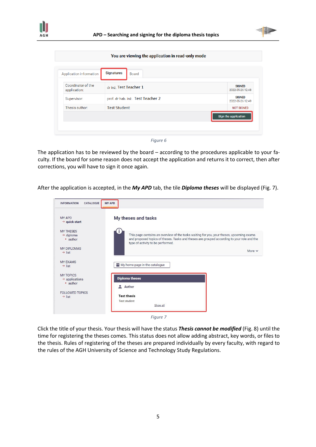



| Application information            | <b>Signatures</b><br><b>Board</b> |                                   |
|------------------------------------|-----------------------------------|-----------------------------------|
| Coordinator of the<br>application: | dr inż. Test Teacher 1            | <b>SIGNED</b><br>2022-05-26 12:48 |
| Supervisor:                        | prof. dr hab. inż. Test Teacher 2 | <b>SIGNED</b><br>2022-05-26 12:49 |
| Thesis author:                     | <b>Test Student</b>               | <b>NOT SIGNED</b>                 |
|                                    |                                   | Sign the application              |

*Figure 6*

The application has to be reviewed by the board – according to the procedures applicable to your faculty. If the board for some reason does not accept the application and returns it to correct, then after corrections, you will have to sign it once again.

After the application is accepted, in the *My APD* tab, the tile *Diploma theses* will be displayed (Fig. 7).

| <b>INFORMATION</b><br><b>CATALOGUE</b>                | <b>MY APD</b>                                                                                                                                                                                                               |
|-------------------------------------------------------|-----------------------------------------------------------------------------------------------------------------------------------------------------------------------------------------------------------------------------|
| <b>MY APD</b><br>$\rightarrow$ quick start            | My theses and tasks                                                                                                                                                                                                         |
| <b>MY THESES</b><br>$\rightarrow$ diploma<br>• author | This page contains an overview of the tasks waiting for you, your theses, upcoming exams<br>and proposed topics of theses. Tasks and theses are grouped according to your role and the<br>type of activity to be performed. |
| <b>MY DIPLOMAS</b><br>$\rightarrow$ list              | More $\vee$                                                                                                                                                                                                                 |
| <b>MY FXAMS</b><br>$\rightarrow$ list                 | My home page in the catalogue                                                                                                                                                                                               |
| <b>MY TOPICS</b><br>$\rightarrow$ applications        | <b>Diploma theses</b>                                                                                                                                                                                                       |
| • author                                              | <b>Author</b>                                                                                                                                                                                                               |
| <b>FOLLOWED TOPICS</b><br>$\rightarrow$ list          | <b>Test thesis</b>                                                                                                                                                                                                          |
|                                                       | <b>Test student</b><br>Show all                                                                                                                                                                                             |

*Figure 7*

Click the title of your thesis. Your thesis will have the status *Thesis cannot be modified* (Fig. 8) until the time for registering the theses comes. This status does not allow adding abstract, key words, or files to the thesis. Rules of registering of the theses are prepared individually by every faculty, with regard to the rules of the AGH University of Science and Technology Study Regulations.